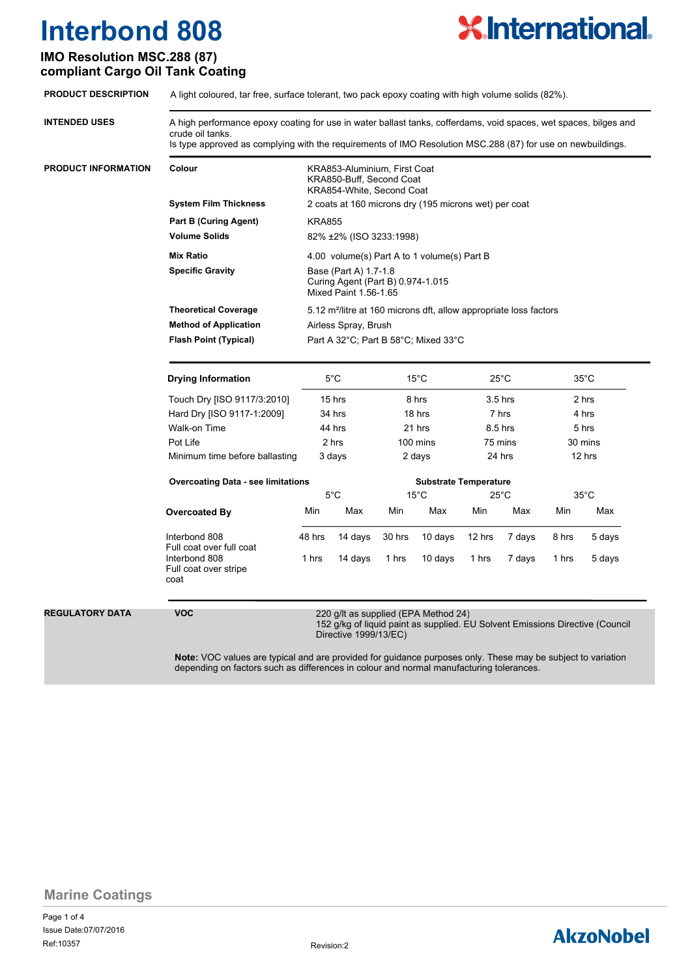

## **IMO Resolution MSC.288 (87) compliant Cargo Oil Tank Coating**

| <b>PRODUCT DESCRIPTION</b> | A light coloured, tar free, surface tolerant, two pack epoxy coating with high volume solids (82%).                                                                                                                                                 |                                                                                                                                                                                                                                                               |                                                       |                                                 |         |                                                    |                              |                                              |        |  |
|----------------------------|-----------------------------------------------------------------------------------------------------------------------------------------------------------------------------------------------------------------------------------------------------|---------------------------------------------------------------------------------------------------------------------------------------------------------------------------------------------------------------------------------------------------------------|-------------------------------------------------------|-------------------------------------------------|---------|----------------------------------------------------|------------------------------|----------------------------------------------|--------|--|
| <b>INTENDED USES</b>       | A high performance epoxy coating for use in water ballast tanks, cofferdams, void spaces, wet spaces, bilges and<br>crude oil tanks.<br>Is type approved as complying with the requirements of IMO Resolution MSC.288 (87) for use on newbuildings. |                                                                                                                                                                                                                                                               |                                                       |                                                 |         |                                                    |                              |                                              |        |  |
| PRODUCT INFORMATION        | Colour                                                                                                                                                                                                                                              | KRA853-Aluminium, First Coat<br>KRA850-Buff, Second Coat<br>KRA854-White, Second Coat                                                                                                                                                                         |                                                       |                                                 |         |                                                    |                              |                                              |        |  |
|                            | <b>System Film Thickness</b>                                                                                                                                                                                                                        |                                                                                                                                                                                                                                                               | 2 coats at 160 microns dry (195 microns wet) per coat |                                                 |         |                                                    |                              |                                              |        |  |
|                            | <b>KRA855</b><br><b>Part B (Curing Agent)</b>                                                                                                                                                                                                       |                                                                                                                                                                                                                                                               |                                                       |                                                 |         |                                                    |                              |                                              |        |  |
|                            | <b>Volume Solids</b>                                                                                                                                                                                                                                | 82% ±2% (ISO 3233:1998)                                                                                                                                                                                                                                       |                                                       |                                                 |         |                                                    |                              |                                              |        |  |
|                            | <b>Mix Ratio</b>                                                                                                                                                                                                                                    | 4.00 volume(s) Part A to 1 volume(s) Part B                                                                                                                                                                                                                   |                                                       |                                                 |         |                                                    |                              |                                              |        |  |
|                            | <b>Specific Gravity</b>                                                                                                                                                                                                                             | Base (Part A) 1.7-1.8<br>Curing Agent (Part B) 0.974-1.015<br>Mixed Paint 1.56-1.65                                                                                                                                                                           |                                                       |                                                 |         |                                                    |                              |                                              |        |  |
|                            | <b>Theoretical Coverage</b>                                                                                                                                                                                                                         | 5.12 m <sup>2</sup> /litre at 160 microns dft, allow appropriate loss factors                                                                                                                                                                                 |                                                       |                                                 |         |                                                    |                              |                                              |        |  |
|                            | <b>Method of Application</b>                                                                                                                                                                                                                        | Airless Spray, Brush<br>Part A 32°C; Part B 58°C; Mixed 33°C                                                                                                                                                                                                  |                                                       |                                                 |         |                                                    |                              |                                              |        |  |
|                            | <b>Flash Point (Typical)</b>                                                                                                                                                                                                                        |                                                                                                                                                                                                                                                               |                                                       |                                                 |         |                                                    |                              |                                              |        |  |
|                            | <b>Drying Information</b>                                                                                                                                                                                                                           | $5^{\circ}$ C                                                                                                                                                                                                                                                 |                                                       | $15^{\circ}$ C                                  |         | $25^{\circ}$ C                                     |                              | $35^{\circ}$ C                               |        |  |
|                            | Touch Dry [ISO 9117/3:2010]                                                                                                                                                                                                                         | 15 hrs<br>34 hrs<br>44 hrs<br>2 hrs<br>3 days                                                                                                                                                                                                                 |                                                       | 8 hrs<br>18 hrs<br>21 hrs<br>100 mins<br>2 days |         | $3.5$ hrs<br>7 hrs<br>8.5 hrs<br>75 mins<br>24 hrs |                              | 2 hrs<br>4 hrs<br>5 hrs<br>30 mins<br>12 hrs |        |  |
|                            | Hard Dry [ISO 9117-1:2009]                                                                                                                                                                                                                          |                                                                                                                                                                                                                                                               |                                                       |                                                 |         |                                                    |                              |                                              |        |  |
|                            | Walk-on Time                                                                                                                                                                                                                                        |                                                                                                                                                                                                                                                               |                                                       |                                                 |         |                                                    |                              |                                              |        |  |
|                            | Pot Life                                                                                                                                                                                                                                            |                                                                                                                                                                                                                                                               |                                                       |                                                 |         |                                                    |                              |                                              |        |  |
|                            | Minimum time before ballasting                                                                                                                                                                                                                      |                                                                                                                                                                                                                                                               |                                                       |                                                 |         |                                                    |                              |                                              |        |  |
|                            | <b>Overcoating Data - see limitations</b>                                                                                                                                                                                                           |                                                                                                                                                                                                                                                               |                                                       |                                                 |         |                                                    | <b>Substrate Temperature</b> |                                              |        |  |
|                            |                                                                                                                                                                                                                                                     | $5^{\circ}$ C                                                                                                                                                                                                                                                 |                                                       | $15^{\circ}$ C                                  |         | $25^{\circ}$ C                                     |                              | $35^{\circ}$ C                               |        |  |
|                            | <b>Overcoated By</b>                                                                                                                                                                                                                                | Min                                                                                                                                                                                                                                                           | Max                                                   | Min                                             | Max     | Min                                                | Max                          | Min                                          | Max    |  |
|                            | Interbond 808<br>Full coat over full coat                                                                                                                                                                                                           | 48 hrs                                                                                                                                                                                                                                                        | 14 days                                               | 30 hrs                                          | 10 days | 12 hrs                                             | 7 days                       | 8 hrs                                        | 5 days |  |
|                            | Interbond 808<br>Full coat over stripe<br>coat                                                                                                                                                                                                      | 1 hrs                                                                                                                                                                                                                                                         | 14 days                                               | 1 hrs                                           | 10 days | 1 hrs                                              | 7 days                       | 1 hrs                                        | 5 days |  |
| <b>REGULATORY DATA</b>     | <b>VOC</b>                                                                                                                                                                                                                                          | 220 g/lt as supplied (EPA Method 24)<br>152 g/kg of liquid paint as supplied. EU Solvent Emissions Directive (Council<br>Directive 1999/13/EC)<br>Note: VOC values are typical and are provided for guidance purposes only. These may be subject to variation |                                                       |                                                 |         |                                                    |                              |                                              |        |  |
|                            | depending on factors such as differences in colour and normal manufacturing tolerances.                                                                                                                                                             |                                                                                                                                                                                                                                                               |                                                       |                                                 |         |                                                    |                              |                                              |        |  |

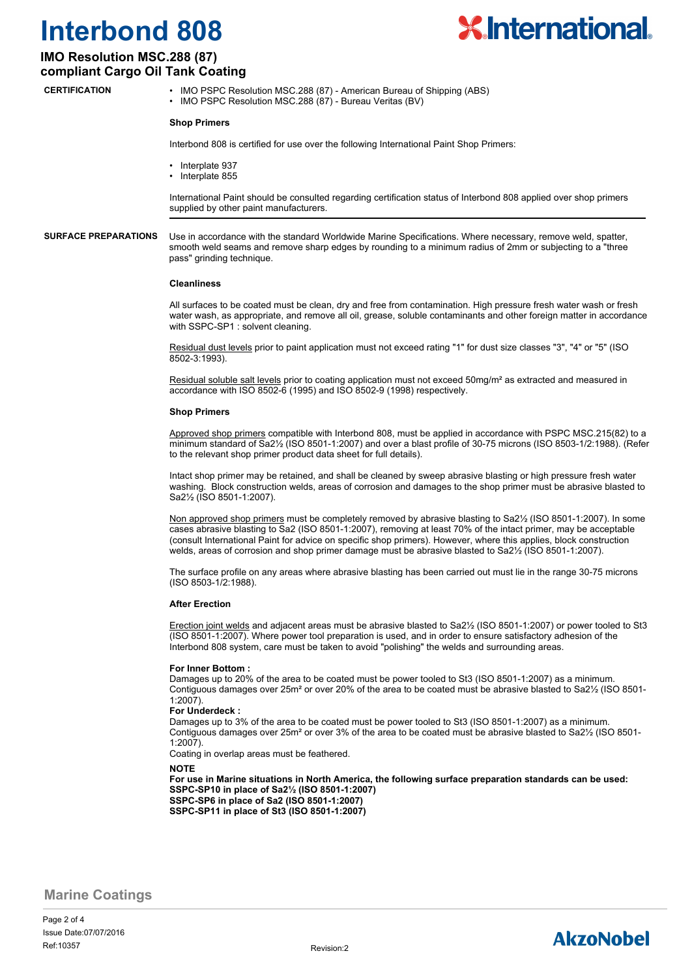

### **IMO Resolution MSC.288 (87) compliant Cargo Oil Tank Coating**

**CERTIFICATION**

• IMO PSPC Resolution MSC.288 (87) - American Bureau of Shipping (ABS) • IMO PSPC Resolution MSC.288 (87) - Bureau Veritas (BV)

#### **Shop Primers**

Interbond 808 is certified for use over the following International Paint Shop Primers:

- Interplate 937
- Interplate 855

International Paint should be consulted regarding certification status of Interbond 808 applied over shop primers supplied by other paint manufacturers.

Use in accordance with the standard Worldwide Marine Specifications. Where necessary, remove weld, spatter, smooth weld seams and remove sharp edges by rounding to a minimum radius of 2mm or subjecting to a "three pass" grinding technique. **SURFACE PREPARATIONS**

#### **Cleanliness**

All surfaces to be coated must be clean, dry and free from contamination. High pressure fresh water wash or fresh water wash, as appropriate, and remove all oil, grease, soluble contaminants and other foreign matter in accordance with SSPC-SP1 : solvent cleaning.

Residual dust levels prior to paint application must not exceed rating "1" for dust size classes "3", "4" or "5" (ISO 8502-3:1993).

Residual soluble salt levels prior to coating application must not exceed 50mg/m<sup>2</sup> as extracted and measured in accordance with ISO 8502-6 (1995) and ISO 8502-9 (1998) respectively.

#### **Shop Primers**

Approved shop primers compatible with Interbond 808, must be applied in accordance with PSPC MSC.215(82) to a minimum standard of Sa2½ (ISO 8501-1:2007) and over a blast profile of 30-75 microns (ISO 8503-1/2:1988). (Refer to the relevant shop primer product data sheet for full details).

Intact shop primer may be retained, and shall be cleaned by sweep abrasive blasting or high pressure fresh water washing. Block construction welds, areas of corrosion and damages to the shop primer must be abrasive blasted to Sa2½ (ISO 8501-1:2007).

Non approved shop primers must be completely removed by abrasive blasting to Sa2½ (ISO 8501-1:2007). In some cases abrasive blasting to Sa2 (ISO 8501-1:2007), removing at least 70% of the intact primer, may be acceptable (consult International Paint for advice on specific shop primers). However, where this applies, block construction welds, areas of corrosion and shop primer damage must be abrasive blasted to Sa2½ (ISO 8501-1:2007).

The surface profile on any areas where abrasive blasting has been carried out must lie in the range 30-75 microns (ISO 8503-1/2:1988).

#### **After Erection**

Erection joint welds and adjacent areas must be abrasive blasted to Sa2½ (ISO 8501-1:2007) or power tooled to St3 (ISO 8501-1:2007). Where power tool preparation is used, and in order to ensure satisfactory adhesion of the Interbond 808 system, care must be taken to avoid "polishing" the welds and surrounding areas.

#### **For Inner Bottom :**

Damages up to 20% of the area to be coated must be power tooled to St3 (ISO 8501-1:2007) as a minimum. Contiguous damages over 25m² or over 20% of the area to be coated must be abrasive blasted to Sa2½ (ISO 8501- 1:2007).

#### **For Underdeck :**

Damages up to 3% of the area to be coated must be power tooled to St3 (ISO 8501-1:2007) as a minimum. Contiguous damages over 25m² or over 3% of the area to be coated must be abrasive blasted to Sa2½ (ISO 8501- 1:2007).

Coating in overlap areas must be feathered.

**NOTE**

**For use in Marine situations in North America, the following surface preparation standards can be used: SSPC-SP10 in place of Sa2½ (ISO 8501-1:2007) SSPC-SP6 in place of Sa2 (ISO 8501-1:2007) SSPC-SP11 in place of St3 (ISO 8501-1:2007)**

### **Marine Coatings**

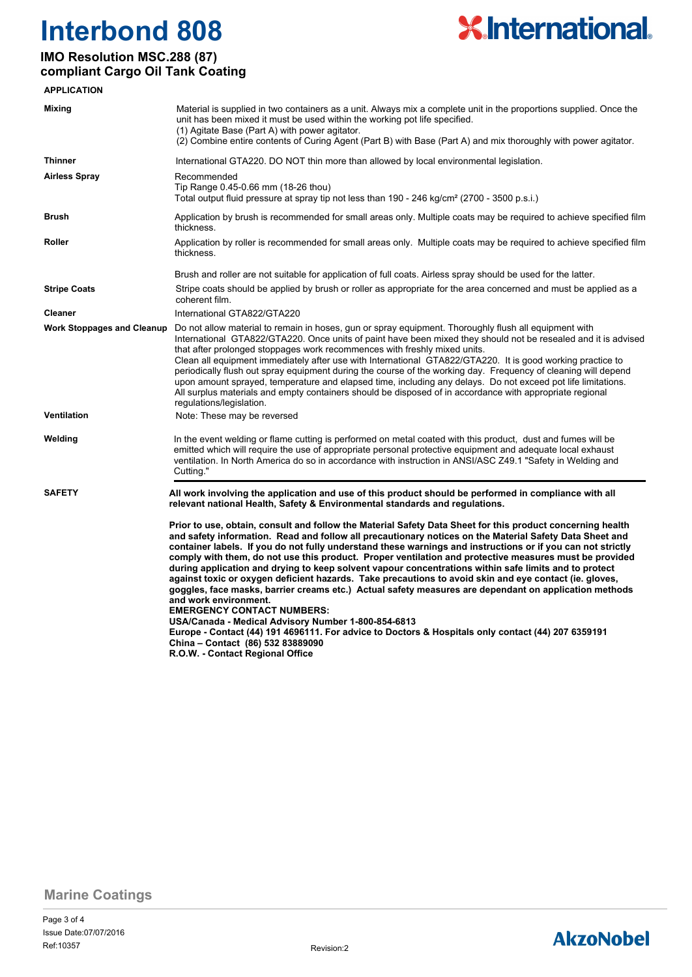

### **IMO Resolution MSC.288 (87) compliant Cargo Oil Tank Coating**

| <b>APPLICATION</b>                |                                                                                                                                                                                                                                                                                                                                                                                                                                                                                                                                                                                                                                                                                                                                                                                                                                                                                                                                                                                                                                                                                |
|-----------------------------------|--------------------------------------------------------------------------------------------------------------------------------------------------------------------------------------------------------------------------------------------------------------------------------------------------------------------------------------------------------------------------------------------------------------------------------------------------------------------------------------------------------------------------------------------------------------------------------------------------------------------------------------------------------------------------------------------------------------------------------------------------------------------------------------------------------------------------------------------------------------------------------------------------------------------------------------------------------------------------------------------------------------------------------------------------------------------------------|
| Mixing                            | Material is supplied in two containers as a unit. Always mix a complete unit in the proportions supplied. Once the<br>unit has been mixed it must be used within the working pot life specified.<br>(1) Agitate Base (Part A) with power agitator.<br>(2) Combine entire contents of Curing Agent (Part B) with Base (Part A) and mix thoroughly with power agitator.                                                                                                                                                                                                                                                                                                                                                                                                                                                                                                                                                                                                                                                                                                          |
| <b>Thinner</b>                    | International GTA220. DO NOT thin more than allowed by local environmental legislation.                                                                                                                                                                                                                                                                                                                                                                                                                                                                                                                                                                                                                                                                                                                                                                                                                                                                                                                                                                                        |
| <b>Airless Spray</b>              | Recommended<br>Tip Range 0.45-0.66 mm (18-26 thou)<br>Total output fluid pressure at spray tip not less than 190 - 246 kg/cm <sup>2</sup> (2700 - 3500 p.s.i.)                                                                                                                                                                                                                                                                                                                                                                                                                                                                                                                                                                                                                                                                                                                                                                                                                                                                                                                 |
| <b>Brush</b>                      | Application by brush is recommended for small areas only. Multiple coats may be required to achieve specified film<br>thickness.                                                                                                                                                                                                                                                                                                                                                                                                                                                                                                                                                                                                                                                                                                                                                                                                                                                                                                                                               |
| Roller                            | Application by roller is recommended for small areas only. Multiple coats may be required to achieve specified film<br>thickness.                                                                                                                                                                                                                                                                                                                                                                                                                                                                                                                                                                                                                                                                                                                                                                                                                                                                                                                                              |
|                                   | Brush and roller are not suitable for application of full coats. Airless spray should be used for the latter.                                                                                                                                                                                                                                                                                                                                                                                                                                                                                                                                                                                                                                                                                                                                                                                                                                                                                                                                                                  |
| <b>Stripe Coats</b>               | Stripe coats should be applied by brush or roller as appropriate for the area concerned and must be applied as a<br>coherent film.                                                                                                                                                                                                                                                                                                                                                                                                                                                                                                                                                                                                                                                                                                                                                                                                                                                                                                                                             |
| Cleaner                           | International GTA822/GTA220                                                                                                                                                                                                                                                                                                                                                                                                                                                                                                                                                                                                                                                                                                                                                                                                                                                                                                                                                                                                                                                    |
| <b>Work Stoppages and Cleanup</b> | Do not allow material to remain in hoses, gun or spray equipment. Thoroughly flush all equipment with<br>International GTA822/GTA220. Once units of paint have been mixed they should not be resealed and it is advised<br>that after prolonged stoppages work recommences with freshly mixed units.<br>Clean all equipment immediately after use with International GTA822/GTA220. It is good working practice to<br>periodically flush out spray equipment during the course of the working day. Frequency of cleaning will depend<br>upon amount sprayed, temperature and elapsed time, including any delays. Do not exceed pot life limitations.<br>All surplus materials and empty containers should be disposed of in accordance with appropriate regional<br>regulations/legislation.                                                                                                                                                                                                                                                                                   |
| <b>Ventilation</b>                | Note: These may be reversed                                                                                                                                                                                                                                                                                                                                                                                                                                                                                                                                                                                                                                                                                                                                                                                                                                                                                                                                                                                                                                                    |
| Welding                           | In the event welding or flame cutting is performed on metal coated with this product, dust and fumes will be<br>emitted which will require the use of appropriate personal protective equipment and adequate local exhaust<br>ventilation. In North America do so in accordance with instruction in ANSI/ASC Z49.1 "Safety in Welding and<br>Cutting."                                                                                                                                                                                                                                                                                                                                                                                                                                                                                                                                                                                                                                                                                                                         |
| <b>SAFETY</b>                     | All work involving the application and use of this product should be performed in compliance with all<br>relevant national Health, Safety & Environmental standards and regulations.                                                                                                                                                                                                                                                                                                                                                                                                                                                                                                                                                                                                                                                                                                                                                                                                                                                                                           |
|                                   | Prior to use, obtain, consult and follow the Material Safety Data Sheet for this product concerning health<br>and safety information. Read and follow all precautionary notices on the Material Safety Data Sheet and<br>container labels. If you do not fully understand these warnings and instructions or if you can not strictly<br>comply with them, do not use this product. Proper ventilation and protective measures must be provided<br>during application and drying to keep solvent vapour concentrations within safe limits and to protect<br>against toxic or oxygen deficient hazards. Take precautions to avoid skin and eye contact (ie. gloves,<br>goggles, face masks, barrier creams etc.) Actual safety measures are dependant on application methods<br>and work environment.<br><b>EMERGENCY CONTACT NUMBERS:</b><br>USA/Canada - Medical Advisory Number 1-800-854-6813<br>Europe - Contact (44) 191 4696111. For advice to Doctors & Hospitals only contact (44) 207 6359191<br>China - Contact (86) 532 83889090<br>R.O.W. - Contact Regional Office |

**Marine Coatings**